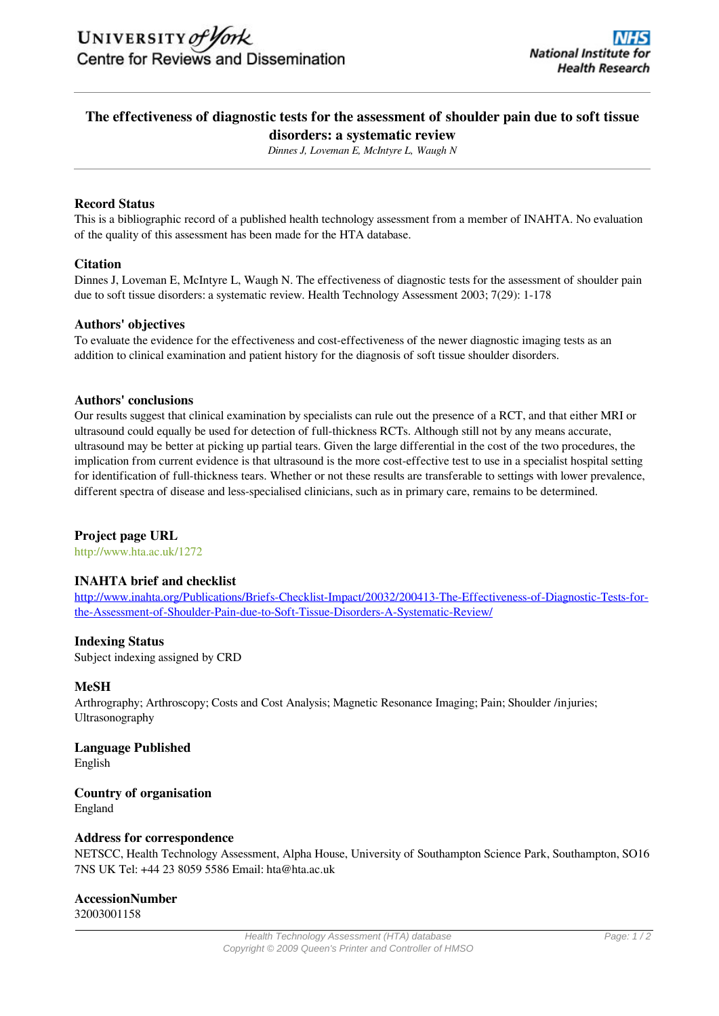# **The effectiveness of diagnostic tests for the assessment of shoulder pain due to soft tissue disorders: a systematic review**

*Dinnes J, Loveman E, McIntyre L, Waugh N*

# **Record Status**

This is a bibliographic record of a published health technology assessment from a member of INAHTA. No evaluation of the quality of this assessment has been made for the HTA database.

#### **Citation**

Dinnes J, Loveman E, McIntyre L, Waugh N. The effectiveness of diagnostic tests for the assessment of shoulder pain due to soft tissue disorders: a systematic review. Health Technology Assessment 2003; 7(29): 1-178

#### **Authors' objectives**

To evaluate the evidence for the effectiveness and cost-effectiveness of the newer diagnostic imaging tests as an addition to clinical examination and patient history for the diagnosis of soft tissue shoulder disorders.

#### **Authors' conclusions**

Our results suggest that clinical examination by specialists can rule out the presence of a RCT, and that either MRI or ultrasound could equally be used for detection of full-thickness RCTs. Although still not by any means accurate, ultrasound may be better at picking up partial tears. Given the large differential in the cost of the two procedures, the implication from current evidence is that ultrasound is the more cost-effective test to use in a specialist hospital setting for identification of full-thickness tears. Whether or not these results are transferable to settings with lower prevalence, different spectra of disease and less-specialised clinicians, such as in primary care, remains to be determined.

#### **Project page URL**

<http://www.hta.ac.uk/1272>

# **INAHTA brief and checklist**

http://www.inahta.org/Publications/Briefs-Checklist-Impact/20032/200413-The-Effectiveness-of-Diagnostic-Tests-forthe-Assessment-of-Shoulder-Pain-due-to-Soft-Tissue-Disorders-A-Systematic-Review/

#### **Indexing Status**

Subject indexing assigned by CRD

# **MeSH**

Arthrography; Arthroscopy; Costs and Cost Analysis; Magnetic Resonance Imaging; Pain; Shoulder /injuries; Ultrasonography

**Language Published** English

**Country of organisation** England

# **Address for correspondence**

NETSCC, Health Technology Assessment, Alpha House, University of Southampton Science Park, Southampton, SO16 7NS UK Tel: +44 23 8059 5586 Email: hta@hta.ac.uk

# **AccessionNumber**

32003001158